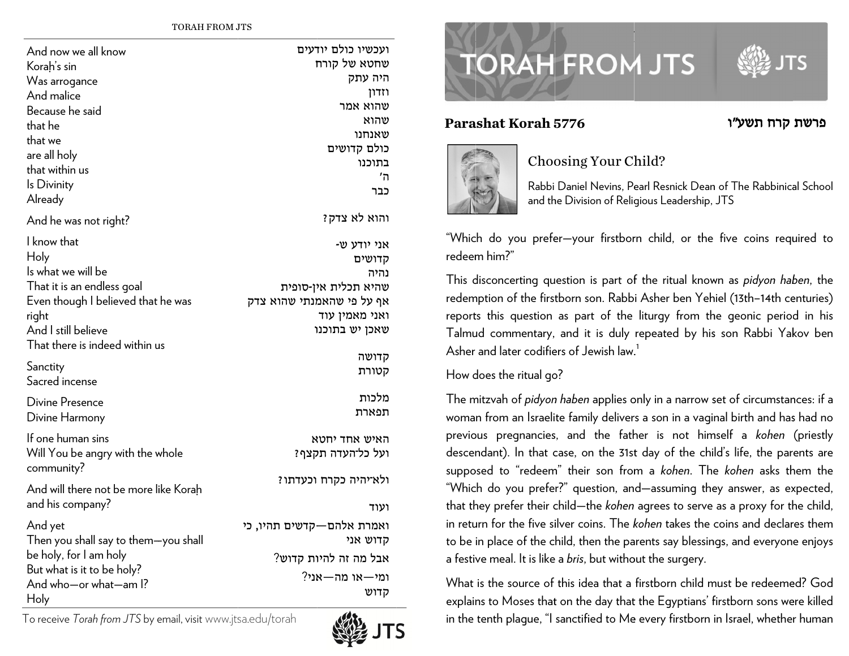TORAH FROM JJTS

| And now we all know<br>Korah's sin<br>Was arrogance<br>And malice<br>Because he said<br>that he<br>that we<br>are all holy<br>that within us<br>Is Divinity<br>Already | ועכשיו כולם יודעים<br>שחטא של קורח<br>היה עתק<br>וזדון<br>שהוא אמר<br>שהוא<br>שאנחנו<br>כולם קדושים<br>בתוכנו<br>ה'<br>כבר |
|------------------------------------------------------------------------------------------------------------------------------------------------------------------------|----------------------------------------------------------------------------------------------------------------------------|
| And he was not right?                                                                                                                                                  | והוא לא צדק?                                                                                                               |
| I know that<br>Holy<br>Is what we will be<br>That it is an endless goal<br>Even though I believed that he was<br>right<br>And I still believe                          | אני יודע ש-<br>קדושים<br>נהיה<br>שהיא תכלית אין-סופית<br>אף על פי שהאמנתי שהוא צדק<br>ואני מאמין עוד<br>שאכן יש בתוכנו     |
| That there is indeed within us                                                                                                                                         | קדושה                                                                                                                      |
| Sanctity<br>Sacred incense                                                                                                                                             | קטורת                                                                                                                      |
| <b>Divine Presence</b><br>Divine Harmony                                                                                                                               | מלכות<br>תפארת                                                                                                             |
| If one human sins<br>Will You be angry with the whole<br>community?                                                                                                    | האיש אחד יחטא<br>ועל כל־העדה תקצף?                                                                                         |
| And will there not be more like Korah<br>and his company?                                                                                                              | ולא־יהיה כקרח וכעדתו?<br>ועוד                                                                                              |
| And yet<br>Then you shall say to them-you shall<br>be holy, for I am holy<br>But what is it to be holy?<br>And who-or what-am I?<br>Holy                               | ואמרת אלהם—קדשים תהיו, כי<br>קדוש אני<br>אבל מה זה להיות קדוש?<br>ומי—או מה—אני?<br>קדוש                                   |

To receive *T Torah from JTS* by e email, visitwww.jts sa.edu/torah



# **TORAH FROM JTS**

#### **Paraashat Korah 55776**



### Choosing Your Child?

Rabbi Daniel Nevins, Pearl Resnick Dean of The Rabbinical School and th he Division of Reli g <sup>g</sup>ious Leadership, JTS

"Which do you prefer—your firstborn child, or the five coins required to redeem him?"

This disconcerting question is part of the ritual known as *pidyon haben*, the redemption of the firstborn son. Rabbi Asher ben Yehiel (13th–14th centuries) reports this question as part of the liturgy from the geonic period in his Talmud commentary, and it is duly repeated by his son Rabbi Yakov ben Asher and later codifiers of Jewish law. $^{\rm 1}$ 

#### How does the ritual go?

The mitzvah of *pidyon haben* applies only in a narrow set of circumstances: if a woman from an Israelite family delivers a son in a vaginal birth and has had no previous pregnancies, and the father is not himself a *kohen* (priestly descendant). In that case, on the 31st day of the child's life, the parents are supposed to "redeem" their son from a *kohen*. The *kohen* asks them the "Whic ch do you prefe r?" question, an d—assuming th e ey answer, as e x xpected, that they prefer their child—the *kohen* agrees to serve as a proxy for the child, in return for the five silver coins. The *kohen* takes the coins and declares them to be in place of the child, then the parents say blessings, and everyone enjoys a festive meal. It is like a *bris,* but without the surgery.

What is the source of this idea that a firstborn child must be redeemed? God explains to Moses that on the day that the Egyptians' firstborn sons were killed in the tenth plague, "I sanctified to Me every firstborn in Israel, whether human

## פרשת קרח תשע״ו